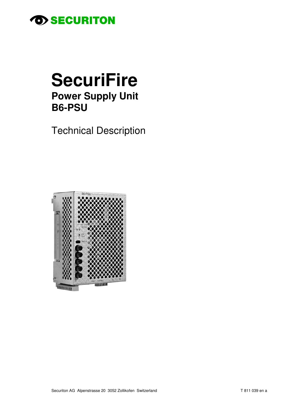

# **SecuriFire Power Supply Unit B6-PSU**

**Technical Description** 

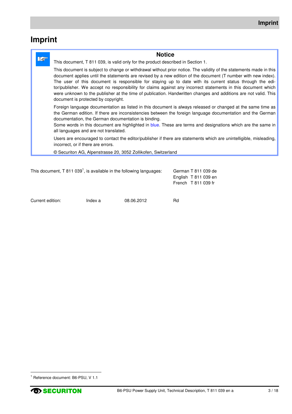# **Imprint**

| <b>Notice</b>                                                                                                                                                                                                                                                                                                                                                                                                                                                                                                                                                                                                              |
|----------------------------------------------------------------------------------------------------------------------------------------------------------------------------------------------------------------------------------------------------------------------------------------------------------------------------------------------------------------------------------------------------------------------------------------------------------------------------------------------------------------------------------------------------------------------------------------------------------------------------|
| This document, T 811 039, is valid only for the product described in Section 1.                                                                                                                                                                                                                                                                                                                                                                                                                                                                                                                                            |
| This document is subject to change or withdrawal without prior notice. The validity of the statements made in this<br>document applies until the statements are revised by a new edition of the document (T number with new index).<br>The user of this document is responsible for staying up to date with its current status through the edi-<br>tor/publisher. We accept no responsibility for claims against any incorrect statements in this document which<br>were unknown to the publisher at the time of publication. Handwritten changes and additions are not valid. This<br>document is protected by copyright. |
| Foreign language documentation as listed in this document is always released or changed at the same time as<br>the German edition. If there are inconsistencies between the foreign language documentation and the German<br>documentation, the German documentation is binding.<br>Some words in this document are highlighted in blue. These are terms and designations which are the same in<br>all languages and are not translated.                                                                                                                                                                                   |
| Users are encouraged to contact the editor/publisher if there are statements which are unintelligible, misleading,<br>incorrect, or if there are errors.                                                                                                                                                                                                                                                                                                                                                                                                                                                                   |
| © Securiton AG, Alpenstrasse 20, 3052 Zollikofen, Switzerland                                                                                                                                                                                                                                                                                                                                                                                                                                                                                                                                                              |
|                                                                                                                                                                                                                                                                                                                                                                                                                                                                                                                                                                                                                            |

| This document, $T 811 0391$ , is available in the following languages: |         |            |    | German T 811 039 de<br>English T 811 039 en<br>French $T811039$ fr |
|------------------------------------------------------------------------|---------|------------|----|--------------------------------------------------------------------|
| Current edition:                                                       | Index a | 08.06.2012 | Rd |                                                                    |

l

<sup>1</sup> Reference document: B6-PSU, V 1.1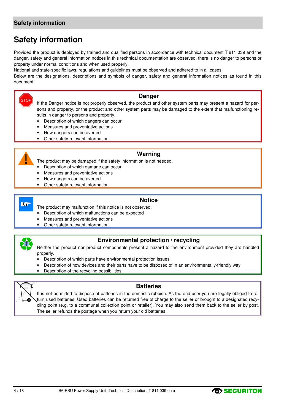### **Safety information**

### **Safety information**

Provided the product is deployed by trained and qualified persons in accordance with technical document T 811 039 and the danger, safety and general information notices in this technical documentation are observed, there is no danger to persons or property under normal conditions and when used properly.

National and state-specific laws, regulations and guidelines must be observed and adhered to in all cases.

Below are the designations, descriptions and symbols of danger, safety and general information notices as found in this document.

### **Danger**

If the Danger notice is not properly observed, the product and other system parts may present a hazard for persons and property, or the product and other system parts may be damaged to the extent that malfunctioning results in danger to persons and property.

- Description of which dangers can occur
- Measures and preventative actions
- How dangers can be averted
- Other safety-relevant information

### **Warning**

The product may be damaged if the safety information is not heeded.

- Description of which damage can occur
- Measures and preventative actions
- How dangers can be averted
- Other safety-relevant information

### **Le**

**STOP** 

### **Notice**

The product may malfunction if this notice is not observed.

- Description of which malfunctions can be expected
- Measures and preventative actions
- Other safety-relevant information



### **Environmental protection / recycling**

Neither the product nor product components present a hazard to the environment provided they are handled properly.

- Description of which parts have environmental protection issues
- Description of how devices and their parts have to be disposed of in an environmentally-friendly way
- Description of the recycling possibilities



#### **Batteries**

It is not permitted to dispose of batteries in the domestic rubbish. As the end user you are legally obliged to return used batteries. Used batteries can be returned free of charge to the seller or brought to a designated recycling point (e.g. to a communal collection point or retailer). You may also send them back to the seller by post. The seller refunds the postage when you return your old batteries.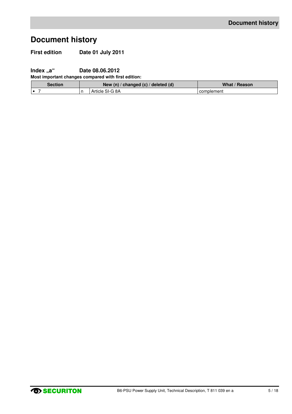# **Document history**

**First edition Date 01 July 2011** 

**Index "a"** Date 08.06.2012

**Most important changes compared with first edition:**

| <b>Section</b> | New (n) / changed (c) / deleted (d) | What / Reason |
|----------------|-------------------------------------|---------------|
|                | Article SI-G 8A                     | complement    |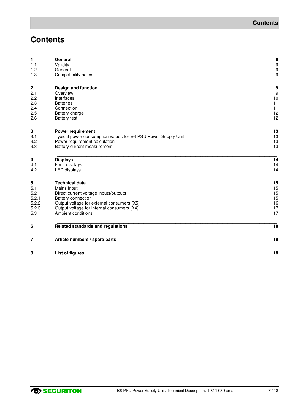# **Contents**

| 8                       | <b>List of figures</b>                                        | 18                                    |
|-------------------------|---------------------------------------------------------------|---------------------------------------|
| 7                       | Article numbers / spare parts                                 | 18                                    |
| 6                       | Related standards and regulations                             | 18                                    |
| 5.3                     | Ambient conditions                                            | 17                                    |
| 5.2.3                   | Output voltage for internal consumers (X4)                    | 17                                    |
| 5.2.2                   | Output voltage for external consumers (X5)                    | 16                                    |
| 5.2.1                   | Battery connection                                            | 15                                    |
| 5.2                     | Direct current voltage inputs/outputs                         | 15                                    |
| 5.1                     | Mains input                                                   | 15                                    |
| 5                       | <b>Technical data</b>                                         | 15                                    |
| 4.2                     | <b>LED</b> displays                                           | 14                                    |
| 4.1                     | Fault displays                                                | 14                                    |
| 4                       | <b>Displays</b>                                               | 14                                    |
| 3.3                     | Battery current measurement                                   | 13                                    |
| 3.2                     | Power requirement calculation                                 | 13                                    |
| 3.1                     | Typical power consumption values for B6-PSU Power Supply Unit | 13                                    |
| 3                       | Power requirement                                             | 13                                    |
| 2.6                     | <b>Battery test</b>                                           | 12                                    |
| 2.5                     | Battery charge                                                | 12                                    |
| 2.4                     | Connection                                                    | 11                                    |
| 2.3                     | <b>Batteries</b>                                              | 11                                    |
| 2.2                     | Interfaces                                                    | 10                                    |
| $\boldsymbol{2}$<br>2.1 | Design and function<br>Overview                               | 9<br>9                                |
|                         |                                                               |                                       |
| 1.2<br>1.3              | General<br>Compatibility notice                               | 9                                     |
| 1.1                     | Validity                                                      | $\begin{array}{c} 9 \\ 9 \end{array}$ |
|                         |                                                               |                                       |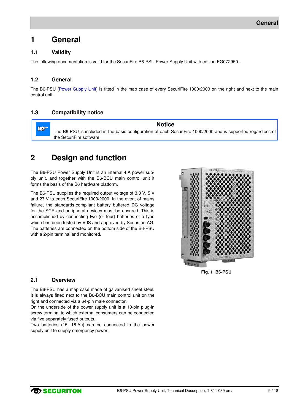### **1 General**

### **1.1 Validity**

The following documentation is valid for the SecuriFire B6-PSU Power Supply Unit with edition EG072950--.

### **1.2 General**

The B6-PSU (Power Supply Unit) is fitted in the map case of every SecuriFire 1000/2000 on the right and next to the main control unit.

### **1.3 Compatibility notice**

**Notice**   $\mathbb{R}^n$ The B6-PSU is included in the basic configuration of each SecuriFire 1000/2000 and is supported regardless of the SecuriFire software.

### **2 Design and function**

The B6-PSU Power Supply Unit is an internal 4 A power supply unit, and together with the B6-BCU main control unit it forms the basis of the B6 hardware platform.

The B6-PSU supplies the required output voltage of 3.3 V, 5 V and 27 V to each SecuriFire 1000/2000. In the event of mains failure, the standards-compliant battery buffered DC voltage for the SCP and peripheral devices must be ensured. This is accomplished by connecting two (or four) batteries of a type which has been tested by VdS and approved by Securiton AG. The batteries are connected on the bottom side of the B6-PSU with a 2-pin terminal and monitored.



**Fig. 1 B6-PSU** 

#### **2.1 Overview**

The B6-PSU has a map case made of galvanised sheet steel. It is always fitted next to the B6-BCU main control unit on the right and connected via a 64-pin male connector.

On the underside of the power supply unit is a 10-pin plug-in screw terminal to which external consumers can be connected via five separately fused outputs.

Two batteries (15...18 Ah) can be connected to the power supply unit to supply emergency power.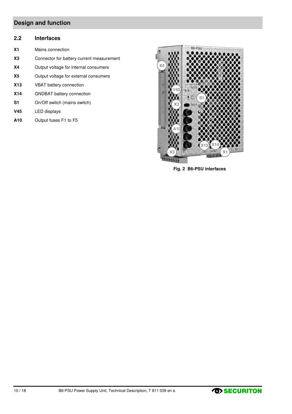### **Design and function**

### **2.2 Interfaces**

- **X1** Mains connection
- **X3** Connector for battery current measurement
- **X4** Output voltage for internal consumers
- **X5** Output voltage for external consumers
- **X13** VBAT battery connection
- **X14** GNDBAT battery connection
- **S1** On/Off switch (mains switch)
- **V45** LED displays
- **A10** Output fuses F1 to F5



**Fig. 2 B6-PSU interfaces** 

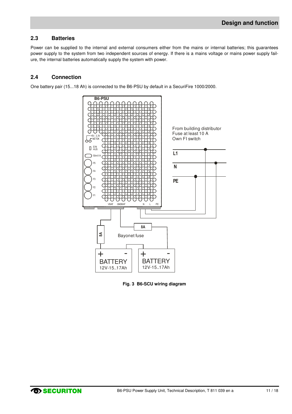### **2.3 Batteries**

Power can be supplied to the internal and external consumers either from the mains or internal batteries; this guarantees power supply to the system from two independent sources of energy. If there is a mains voltage or mains power supply failure, the internal batteries automatically supply the system with power.

### **2.4 Connection**

One battery pair (15...18 Ah) is connected to the B6-PSU by default in a SecuriFire 1000/2000.



**Fig. 3 B6-SCU wiring diagram**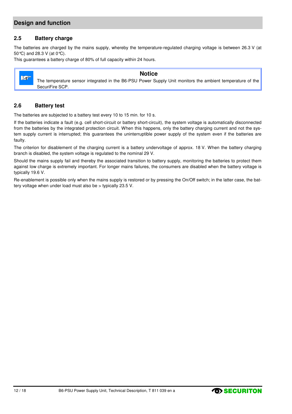### **Design and function**

### **2.5 Battery charge**

The batteries are charged by the mains supply, whereby the temperature-regulated charging voltage is between 26.3 V (at 50°C) and 28.3 V (at 0°C).

This guarantees a battery charge of 80% of full capacity within 24 hours.



#### **Notice**

The temperature sensor integrated in the B6-PSU Power Supply Unit monitors the ambient temperature of the SecuriFire SCP.

### **2.6 Battery test**

The batteries are subjected to a battery test every 10 to 15 min. for 10 s.

If the batteries indicate a fault (e.g. cell short-circuit or battery short-circuit), the system voltage is automatically disconnected from the batteries by the integrated protection circuit. When this happens, only the battery charging current and not the system supply current is interrupted; this guarantees the uninterruptible power supply of the system even if the batteries are faulty.

The criterion for disablement of the charging current is a battery undervoltage of approx. 18 V. When the battery charging branch is disabled, the system voltage is regulated to the nominal 29 V.

Should the mains supply fail and thereby the associated transition to battery supply, monitoring the batteries to protect them against low charge is extremely important. For longer mains failures, the consumers are disabled when the battery voltage is typically 19.6 V.

Re-enablement is possible only when the mains supply is restored or by pressing the On/Off switch; in the latter case, the battery voltage when under load must also be > typically 23.5 V.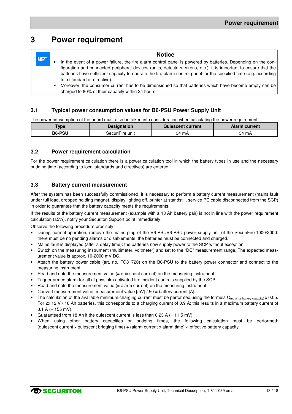### **3 Power requirement**

#### **Notice Le** In the event of a power failure, the fire alarm control panel is powered by batteries. Depending on the configuration and connected peripheral devices (units, detectors, sirens, etc.), it is important to ensure that the batteries have sufficient capacity to operate the fire alarm control panel for the specified time (e.g. according to a standard or directive). • Moreover, the consumer current has to be dimensioned so that batteries which have become empty can be charged to 80% of their capacity within 24 hours.

### **3.1 Typical power consumption values for B6-PSU Power Supply Unit**

The power consumption of the board must also be taken into consideration when calculating the power requirement:

| <b>Type</b>   | <b>Designation</b> | Quiescent current | Alarm current |
|---------------|--------------------|-------------------|---------------|
| <b>B6-PSU</b> | SecuriFire unit    | 34 mA             | 34 mA         |

### **3.2 Power requirement calculation**

For the power requirement calculation there is a power calculation tool in which the battery types in use and the necessary bridging time (according to local standards and directives) are entered.

### **3.3 Battery current measurement**

After the system has been successfully commissioned, it is necessary to perform a battery current measurement (mains fault under full load, dropped holding magnet, display lighting off, printer at standstill, service PC cable disconnected from the SCP) in order to guarantee that the battery capacity meets the requirements.

If the results of the battery current measurement (example with a 18 Ah battery pair) is not in line with the power requirement calculation (±5%), notify your Securiton Support point immediately.

Observe the following procedure precisely:

- During normal operation, remove the mains plug of the B6-PSUB6-PSU power supply unit of the SecuriFire 1000/2000: there must be no pending alarms or disablements; the batteries must be connected and charged.
- Mains fault is displayed (after a delay time): the batteries now supply power to the SCP without exception.
- Switch on the measuring instrument (multimeter, voltmeter) and set to the "DC" measurement range. The expected measurement value is approx. 10-2000 mV DC.
- Attach the battery power cable (art. no. FG81720) on the B6-PSU to the battery power connector and connect to the measuring instrument.
- Read and note the measurement value (= quiescent current) on the measuring instrument.
- Trigger armed alarm for all (if possible) activated fire incident controls supplied by the SCP.
- Read and note the measurement value  $(=$  alarm current) on the measuring instrument.
- Convert measurement value: measurement value [mV] / 50 = battery current [A].
- The calculation of the available minimum charging current must be performed using the formula  $C_{(nominal battery capacity)} \times 0.05$ . For 2x 12 V / 18 Ah batteries, this corresponds to a charging current of 0.9 A; this results in a maximum battery current of 3.1 A  $(= 155 \text{ mV})$ .
- Guaranteed from 18 Ah if the quiescent current is less than  $0.23$  A (= 11.5 mV).
- When using other battery capacities or bridging times, the following calculation must be performed: (quiescent current x quiescent bridging time) + (alarm current x alarm time) < effective battery capacity.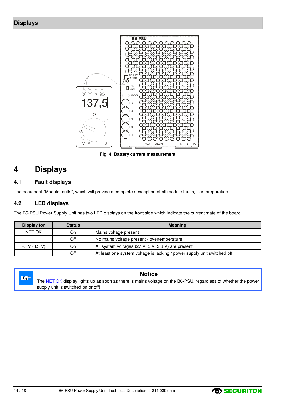

**Fig. 4 Battery current measurement** 

# **4 Displays**

### **4.1 Fault displays**

The document "Module faults", which will provide a complete description of all module faults, is in preparation.

### **4.2 LED displays**

The B6-PSU Power Supply Unit has two LED displays on the front side which indicate the current state of the board.

| Display for    | <b>Status</b> | <b>Meaning</b>                                                          |
|----------------|---------------|-------------------------------------------------------------------------|
| <b>NET OK</b>  | On            | Mains voltage present                                                   |
|                | Off           | No mains voltage present / overtemperature                              |
| $+5$ V (3.3 V) | On            | All system voltages (27 V, 5 V, 3.3 V) are present                      |
|                | Off           | At least one system voltage is lacking / power supply unit switched off |



### **Notice**

The NET OK display lights up as soon as there is mains voltage on the B6-PSU, regardless of whether the power supply unit is switched on or off!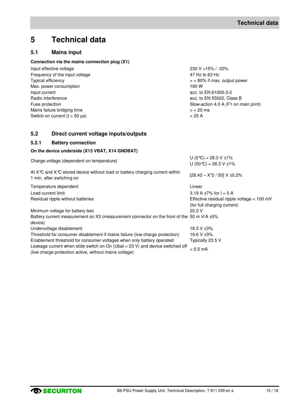# **5 Technical data**

### **5.1 Mains input**

### **Connection via the mains connection plug (X1)**

| Input effective voltage                          | 230 V +15% / -20%                    |
|--------------------------------------------------|--------------------------------------|
| Frequency of the input voltage                   | 47 Hz to 63 Hz                       |
| Typical efficiency                               | $>$ = 80% if max. output power       |
| Max. power consumption                           | 160 W                                |
| Input current                                    | acc. to EN 61000-3-2                 |
| Radio interference                               | acc. to EN 55022, Class B            |
| Fuse protection                                  | Slow-action 4.0 A (F1 on main print) |
| Mains failure bridging time                      | $> 20$ ms                            |
| Switch-on current $(t > 50 \text{ }\mu\text{s})$ | $< 25 \text{ A}$                     |

### **5.2 Direct current voltage inputs/outputs**

### **5.2.1 Battery connection**

### **On the device underside (X13 VBAT, X14 GNDBAT)**

| Charge voltage (dependent on temperature)                                                                                                | $U(0^{\circ}C) = 28.3 V \pm 1\%$<br>U (50 °C) = 26.3 V $\pm$ 1%             |
|------------------------------------------------------------------------------------------------------------------------------------------|-----------------------------------------------------------------------------|
| At $X^{\circ}C$ and $X^{\circ}C$ stored device without load or battery charging current within<br>1 min. after switching on              | $[28.42 - X^*2 / 50]$ V ±0.2%                                               |
| Temperature dependent                                                                                                                    | Linear                                                                      |
| Load current limit                                                                                                                       | 3.19 A $\pm$ 7% for I = 0 A                                                 |
| Residual ripple without batteries                                                                                                        | Effective residual ripple voltage $<$ 100 mV<br>(for full charging current) |
| Minimum voltage for battery test                                                                                                         | 20.2V                                                                       |
| Battery current measurement on X3 (measurement connector on the front of the 50 m V/A ±5%<br>device)                                     |                                                                             |
| Undervoltage disablement                                                                                                                 | 18.3 V ±3%                                                                  |
| Threshold for consumer disablement if mains failure (low charge protection)                                                              | 19.6 V ±3%                                                                  |
| Enablement threshold for consumer voltages when only battery operated                                                                    | Typically 23.5 V                                                            |
| Leakage current when slide switch on On (Ubat $=$ 23 V) and device switched off<br>(low charge protection active, without mains voltage) | $< 0.5$ mA                                                                  |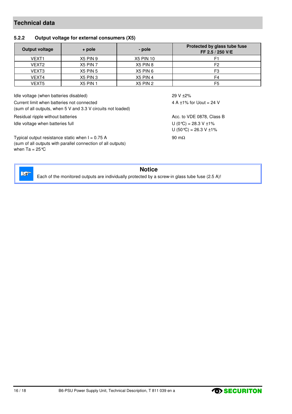### **Technical data**

### **5.2.2 Output voltage for external consumers (X5)**

| Output voltage    | + pole          | - pole           | Protected by glass tube fuse<br>FF 2.5 / 250 V/E |
|-------------------|-----------------|------------------|--------------------------------------------------|
| VEXT <sub>1</sub> | X5 PIN 9        | <b>X5 PIN 10</b> |                                                  |
| VEXT2             | X5 PIN 7        | X5 PIN 8         | F2                                               |
| VEXT <sub>3</sub> | <b>X5 PIN 5</b> | X5 PIN 6         | F3                                               |
| VEXT4             | X5 PIN 3        | X5 PIN 4         | F4                                               |
| VEXT5             | <b>X5 PIN 1</b> | <b>X5 PIN 2</b>  | F <sub>5</sub>                                   |

Idle voltage (when batteries disabled) 29 V ±2% Current limit when batteries not connected (sum of all outputs, when 5 V and 3.3 V circuits not loaded)

Residual ripple without batteries Acc. to VDE 0878, Class B

Typical output resistance static when  $I = 0.75$  A (sum of all outputs with parallel connection of all outputs) when Ta =  $25^{\circ}$ C

4 A  $\pm$ 1% for Uout = 24 V

Idle voltage when batteries full  $U(0^{\circ}\text{C}) = 28.3 \text{ V } \pm 1\%$ U  $(50 °C) = 26.3 V ±1%$ 90 mΩ



### **Notice**

Each of the monitored outputs are individually protected by a screw-in glass tube fuse (2.5 A)!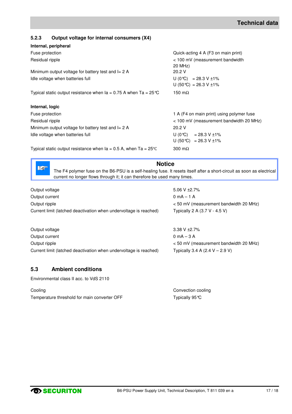### **5.2.3 Output voltage for internal consumers (X4)**

| Internal, peripheral                                                         |                                                               |
|------------------------------------------------------------------------------|---------------------------------------------------------------|
| Fuse protection                                                              | Quick-acting 4 A (F3 on main print)                           |
| Residual ripple                                                              | < 100 mV (measurement bandwidth<br>20 MHz)                    |
| Minimum output voltage for battery test and $I = 2$ A                        | 20.2 V                                                        |
| Idle voltage when batteries full                                             | U (0 °C) = 28.3 V $\pm$ 1%<br>U (50 °C) = 26.3 V ±1%          |
| Typical static output resistance when $Ia = 0.75$ A when Ta = 25 °C          | 150 m $\Omega$                                                |
| Internal, logic                                                              |                                                               |
| Fuse protection                                                              | 1 A (F4 on main print) using polymer fuse                     |
| Residual ripple                                                              | < 100 mV (measurement bandwidth 20 MHz)                       |
| Minimum output voltage for battery test and $I = 2$ A                        | 20.2V                                                         |
| Idle voltage when batteries full                                             | $U (0^{\circ}C) = 28.3 V \pm 1\%$<br>$U (50 °C) = 26.3 V ±1%$ |
| Typical static output resistance when $Ia = 0.5$ A, when Ta = 25 $\degree$ C | 300 m $\Omega$                                                |

**Notice** 

The F4 polymer fuse on the B6-PSU is a self-healing fuse. It resets itself after a short-circuit as soon as electrical current no longer flows through it; it can therefore be used many times.

| Output voltage<br>Output current<br>Output ripple<br>Current limit (latched deactivation when undervoltage is reached) | 5.06 V $\pm 2.7\%$<br>$0 \text{ mA} - 1 \text{ A}$<br>< 50 mV (measurement bandwidth 20 MHz)<br>Typically 2 A $(3.7 V - 4.5 V)$ |
|------------------------------------------------------------------------------------------------------------------------|---------------------------------------------------------------------------------------------------------------------------------|
| Output voltage                                                                                                         | 3.38 V $\pm 2.7\%$                                                                                                              |
| Output current                                                                                                         | $0 \text{ mA} - 3 \text{ A}$                                                                                                    |
| Output ripple                                                                                                          | < 50 mV (measurement bandwidth 20 MHz)                                                                                          |

Current limit (latched deactivation when undervoltage is reached) Typically 3.4 A (2.4 V – 2.9 V)

### **5.3 Ambient conditions**

 $\mathbb{R}^n$ 

Environmental class II acc. to VdS 2110

Cooling Cooling Cooling Cooling Cooling Cooling Cooling Cooling Cooling Cooling Cooling Cooling Cooling Cooling Cooling Cooling Cooling Cooling Cooling Cooling Cooling Cooling Cooling Cooling Cooling Cooling Cooling Coolin Temperature threshold for main converter OFF Typically 95 °C